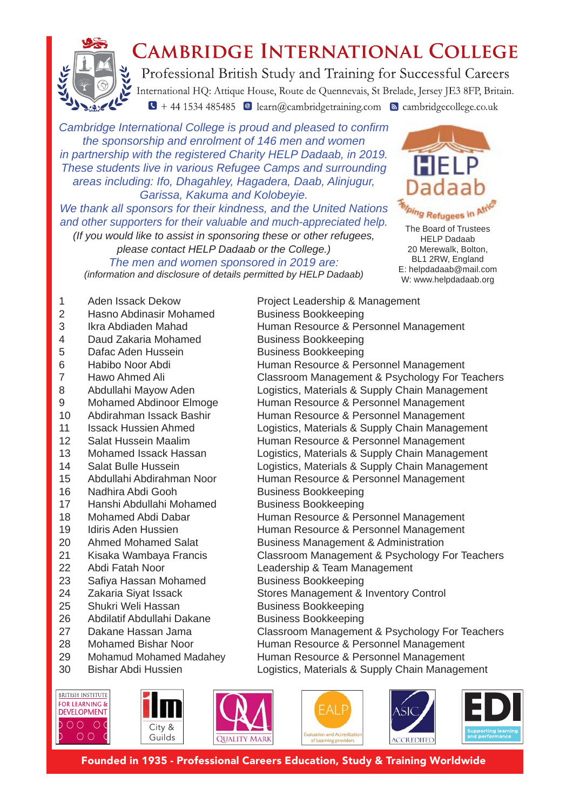

## **CAMBRIDGE INTERNATIONAL COLLEGE**

Professional British Study and Training for Successful Careers International HQ: Attique House, Route de Quennevais, St Brelade, Jersey JE3 8FP, Britain.  $\sqrt{1 + 44}$  1534 485485 <br>
e learn@cambridgetraining.com <br>
s cambridgecollege.co.uk

*Cambridge International College is proud and pleased to confirm the sponsorship and enrolment of 146 men and women*  in partnership with the registered Charity HELP Dadaab, in 2019. *These students live in various Refugee Camps and surrounding areas including: Ifo, Dhagahley, Hagadera, Daab, Alinjugur, Garissa, Kakuma and Kolobeyie.* 

*We thank all sponsors for their kindness, and the United Nations and other supporters for their valuable and much-appreciated help.*

*(If you would like to assist in sponsoring these or other refugees, please contact HELP Dadaab or the College.) The men and women sponsored in 2019 are: (information and disclosure of details permitted by HELP Dadaab)*



The Board of Trustees HELP Dadaab 20 Merewalk, Bolton, BL1 2RW, England E: helpdadaab@mail.com W: www.helpdadaab.org

- 1 Aden Issack Dekow Project Leadership & Management
- 2 Hasno Abdinasir Mohamed Business Bookkeeping
- 3 Ikra Abdiaden Mahad Human Resource & Personnel Management
- 4 Daud Zakaria Mohamed Business Bookkeeping
- 5 Dafac Aden Hussein Business Bookkeeping
- 6 Habibo Noor Abdi **Human Resource & Personnel Management**
- 7 Hawo Ahmed Ali Classroom Management & Psychology For Teachers
- 8 Abdullahi Mayow Aden Logistics, Materials & Supply Chain Management
- 9 Mohamed Abdinoor Elmoge Human Resource & Personnel Management
- 10 Abdirahman Issack Bashir Human Resource & Personnel Management
- 11 Issack Hussien Ahmed Logistics, Materials & Supply Chain Management
- 12 Salat Hussein Maalim Human Resource & Personnel Management
- 13 Mohamed Issack Hassan Logistics, Materials & Supply Chain Management
- 14 Salat Bulle Hussein **Logistics, Materials & Supply Chain Management**
- 15 Abdullahi Abdirahman Noor Human Resource & Personnel Management
- 16 Nadhira Abdi Gooh Business Bookkeeping
- 17 Hanshi Abdullahi Mohamed Business Bookkeeping
- 18 Mohamed Abdi Dabar **Human Resource & Personnel Management**
- 19 Idiris Aden Hussien Human Resource & Personnel Management
- 20 Ahmed Mohamed Salat Business Management & Administration
- 21 Kisaka Wambaya Francis Classroom Management & Psychology For Teachers
- 
- 22 Abdi Fatah Noor Leadership & Team Management<br>23 Safiva Hassan Mohamed Business Bookkeeping 23 Safiya Hassan Mohamed
- 24 Zakaria Siyat Issack Stores Management & Inventory Control
- 25 Shukri Weli Hassan Business Bookkeeping
- 26 Abdilatif Abdullahi Dakane Business Bookkeeping
- 27 Dakane Hassan Jama Classroom Management & Psychology For Teachers
- 28 Mohamed Bishar Noor Human Resource & Personnel Management
- 29 Mohamud Mohamed Madahey Human Resource & Personnel Management
- 30 Bishar Abdi Hussien Logistics, Materials & Supply Chain Management

**BRITISH INSTITUTE FOR LEARNING & DEVELOPMENT** 000 OC  $\circ$ 











Founded in 1935 - Professional Careers Education, Study & Training Worldwide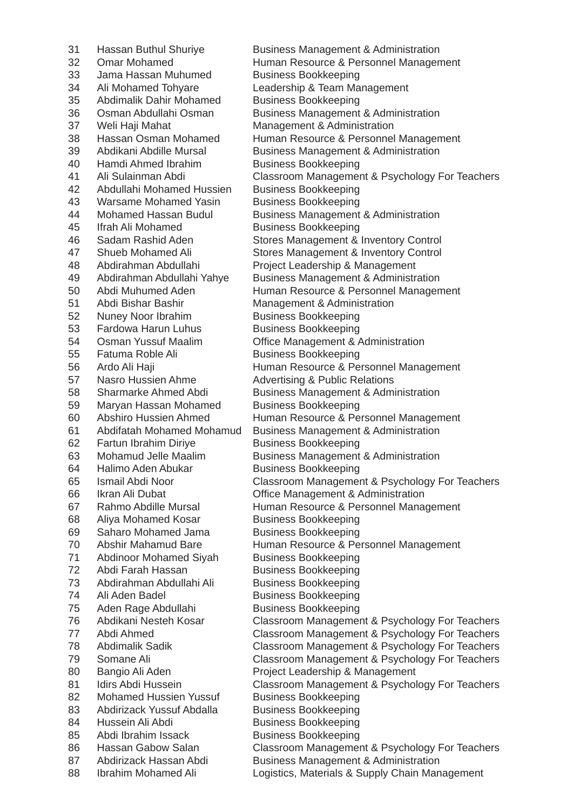33 Jama Hassan Muhumed Business Bookkeeping 34 Ali Mohamed Tohyare Leadership & Team Management 35 Abdimalik Dahir Mohamed Business Bookkeeping 37 Weli Haii Mahat Management & Administration 40 Hamdi Ahmed Ibrahim Business Bookkeeping 42 Abdullahi Mohamed Hussien Business Bookkeeping 43 Warsame Mohamed Yasin Business Bookkeeping 45 Ifrah Ali Mohamed Business Bookkeeping 48 Abdirahman Abdullahi Project Leadership & Management 51 Abdi Bishar Bashir Management & Administration 52 Nuney Noor Ibrahim Business Bookkeeping 53 Fardowa Harun Luhus Business Bookkeeping 54 Osman Yussuf Maalim **Office Management & Administration** 55 Fatuma Roble Ali Business Bookkeeping 57 Nasro Hussien Ahme **Advertising & Public Relations** 59 Maryan Hassan Mohamed Business Bookkeeping 62 Fartun Ibrahim Diriye Business Bookkeeping 64 Halimo Aden Abukar Business Bookkeeping 66 Ikran Ali Dubat **Constanting Constructs** Office Management & Administration 68 Aliya Mohamed Kosar Business Bookkeeping 69 Saharo Mohamed Jama<br>Business Bookkeeping 71 Abdinoor Mohamed Siyah Business Bookkeeping 72 Abdi Farah Hassan Business Bookkeeping 73 Abdirahman Abdullahi Ali Business Bookkeeping 74 Ali Aden Badel Business Bookkeeping 75 Aden Rage Abdullahi Business Bookkeeping 80 Bangio Ali Aden **Project Leadership & Management** 82 Mohamed Hussien Yussuf Business Bookkeeping 83 Abdirizack Yussuf Abdalla Business Bookkeeping 84 Hussein Ali Abdi Business Bookkeeping 85 Abdi Ibrahim Issack Business Bookkeeping 88 Ibrahim Mohamed Ali Logistics, Materials & Supply Chain Management

31 Hassan Buthul Shuriye Business Management & Administration 32 Omar Mohamed Human Resource & Personnel Management 36 Osman Abdullahi Osman Business Management & Administration 38 Hassan Osman Mohamed Human Resource & Personnel Management 39 Abdikani Abdille Mursal Business Management & Administration 41 Ali Sulainman Abdi Classroom Management & Psychology For Teachers 44 Mohamed Hassan Budul Business Management & Administration 46 Sadam Rashid Aden Stores Management & Inventory Control 47 Shueb Mohamed Ali Stores Management & Inventory Control 49 Abdirahman Abdullahi Yahye Business Management & Administration 50 Abdi Muhumed Aden **Human Resource & Personnel Management** 56 Ardo Ali Haji **Human Resource & Personnel Management** 58 Sharmarke Ahmed Abdi Business Management & Administration 60 Abshiro Hussien Ahmed Human Resource & Personnel Management 61 Abdifatah Mohamed Mohamud Business Management & Administration 63 Mohamud Jelle Maalim Business Management & Administration 65 Ismail Abdi Noor Classroom Management & Psychology For Teachers 67 Rahmo Abdille Mursal Human Resource & Personnel Management 70 Abshir Mahamud Bare Human Resource & Personnel Management 76 Abdikani Nesteh Kosar Classroom Management & Psychology For Teachers 77 Abdi Ahmed Classroom Management & Psychology For Teachers 78 Abdimalik Sadik Classroom Management & Psychology For Teachers 79 Somane Ali Classroom Management & Psychology For Teachers 81 Idirs Abdi Hussein Classroom Management & Psychology For Teachers 86 Hassan Gabow Salan Classroom Management & Psychology For Teachers 87 Abdirizack Hassan Abdi Business Management & Administration